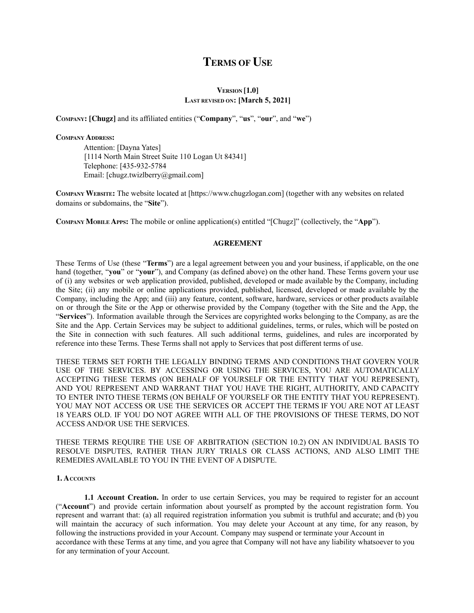# **TERMS OF USE**

# **VERSION [1.0] LAST REVISED ON: [March 5, 2021]**

**COMPANY: [Chugz]** and its affiliated entities ("**Company**", "**us**", "**our**", and "**we**")

## **COMPANY ADDRESS:**

Attention: [Dayna Yates] [1114 North Main Street Suite 110 Logan Ut 84341] Telephone: [435-932-5784 Email: [chugz.twizlberry@gmail.com]

**COMPANY WEBSITE:** The website located at [https://www.chugzlogan.com] (together with any websites on related domains or subdomains, the "**Site**").

**COMPANY MOBILE APPS:** The mobile or online application(s) entitled "[Chugz]" (collectively, the "**App**").

## **AGREEMENT**

These Terms of Use (these "**Terms**") are a legal agreement between you and your business, if applicable, on the one hand (together, "**you**" or "**your**"), and Company (as defined above) on the other hand. These Terms govern your use of (i) any websites or web application provided, published, developed or made available by the Company, including the Site; (ii) any mobile or online applications provided, published, licensed, developed or made available by the Company, including the App; and (iii) any feature, content, software, hardware, services or other products available on or through the Site or the App or otherwise provided by the Company (together with the Site and the App, the "**Services**"). Information available through the Services are copyrighted works belonging to the Company, as are the Site and the App. Certain Services may be subject to additional guidelines, terms, or rules, which will be posted on the Site in connection with such features. All such additional terms, guidelines, and rules are incorporated by reference into these Terms. These Terms shall not apply to Services that post different terms of use.

THESE TERMS SET FORTH THE LEGALLY BINDING TERMS AND CONDITIONS THAT GOVERN YOUR USE OF THE SERVICES. BY ACCESSING OR USING THE SERVICES, YOU ARE AUTOMATICALLY ACCEPTING THESE TERMS (ON BEHALF OF YOURSELF OR THE ENTITY THAT YOU REPRESENT), AND YOU REPRESENT AND WARRANT THAT YOU HAVE THE RIGHT, AUTHORITY, AND CAPACITY TO ENTER INTO THESE TERMS (ON BEHALF OF YOURSELF OR THE ENTITY THAT YOU REPRESENT). YOU MAY NOT ACCESS OR USE THE SERVICES OR ACCEPT THE TERMS IF YOU ARE NOT AT LEAST 18 YEARS OLD. IF YOU DO NOT AGREE WITH ALL OF THE PROVISIONS OF THESE TERMS, DO NOT ACCESS AND/OR USE THE SERVICES.

THESE TERMS REQUIRE THE USE OF ARBITRATION (SECTION 10.2) ON AN INDIVIDUAL BASIS TO RESOLVE DISPUTES, RATHER THAN JURY TRIALS OR CLASS ACTIONS, AND ALSO LIMIT THE REMEDIES AVAILABLE TO YOU IN THE EVENT OF A DISPUTE.

## **1. ACCOUNTS**

**1.1 Account Creation.** In order to use certain Services, you may be required to register for an account ("**Account**") and provide certain information about yourself as prompted by the account registration form. You represent and warrant that: (a) all required registration information you submit is truthful and accurate; and (b) you will maintain the accuracy of such information. You may delete your Account at any time, for any reason, by following the instructions provided in your Account. Company may suspend or terminate your Account in accordance with these Terms at any time, and you agree that Company will not have any liability whatsoever to you for any termination of your Account.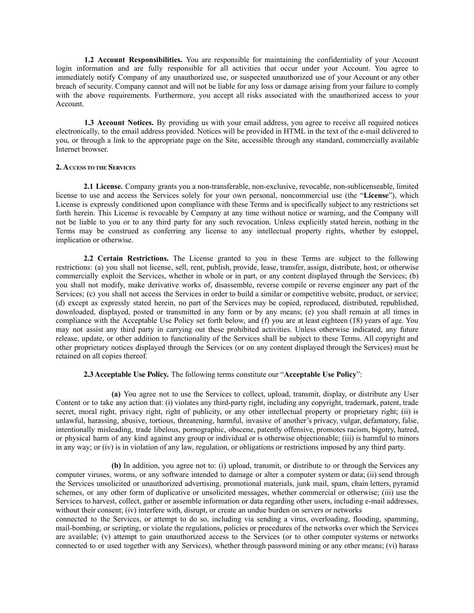**1.2 Account Responsibilities.** You are responsible for maintaining the confidentiality of your Account login information and are fully responsible for all activities that occur under your Account. You agree to immediately notify Company of any unauthorized use, or suspected unauthorized use of your Account or any other breach of security. Company cannot and will not be liable for any loss or damage arising from your failure to comply with the above requirements. Furthermore, you accept all risks associated with the unauthorized access to your Account.

**1.3 Account Notices.** By providing us with your email address, you agree to receive all required notices electronically, to the email address provided. Notices will be provided in HTML in the text of the e-mail delivered to you, or through a link to the appropriate page on the Site, accessible through any standard, commercially available Internet browser.

## **2. ACCESS TO THE SERVICES**

**2.1 License.** Company grants you a non-transferable, non-exclusive, revocable, non-sublicenseable, limited license to use and access the Services solely for your own personal, noncommercial use (the "**License**"), which License is expressly conditioned upon compliance with these Terms and is specifically subject to any restrictions set forth herein. This License is revocable by Company at any time without notice or warning, and the Company will not be liable to you or to any third party for any such revocation. Unless explicitly stated herein, nothing in the Terms may be construed as conferring any license to any intellectual property rights, whether by estoppel, implication or otherwise.

**2.2 Certain Restrictions.** The License granted to you in these Terms are subject to the following restrictions: (a) you shall not license, sell, rent, publish, provide, lease, transfer, assign, distribute, host, or otherwise commercially exploit the Services, whether in whole or in part, or any content displayed through the Services; (b) you shall not modify, make derivative works of, disassemble, reverse compile or reverse engineer any part of the Services; (c) you shall not access the Services in order to build a similar or competitive website, product, or service; (d) except as expressly stated herein, no part of the Services may be copied, reproduced, distributed, republished, downloaded, displayed, posted or transmitted in any form or by any means; (e) you shall remain at all times in compliance with the Acceptable Use Policy set forth below, and (f) you are at least eighteen (18) years of age. You may not assist any third party in carrying out these prohibited activities. Unless otherwise indicated, any future release, update, or other addition to functionality of the Services shall be subject to these Terms. All copyright and other proprietary notices displayed through the Services (or on any content displayed through the Services) must be retained on all copies thereof.

# **2.3 Acceptable Use Policy.** The following terms constitute our "**Acceptable Use Policy**":

**(a)** You agree not to use the Services to collect, upload, transmit, display, or distribute any User Content or to take any action that: (i) violates any third-party right, including any copyright, trademark, patent, trade secret, moral right, privacy right, right of publicity, or any other intellectual property or proprietary right; (ii) is unlawful, harassing, abusive, tortious, threatening, harmful, invasive of another's privacy, vulgar, defamatory, false, intentionally misleading, trade libelous, pornographic, obscene, patently offensive, promotes racism, bigotry, hatred, or physical harm of any kind against any group or individual or is otherwise objectionable; (iii) is harmful to minors in any way; or (iv) is in violation of any law, regulation, or obligations or restrictions imposed by any third party.

**(b)** In addition, you agree not to: (i) upload, transmit, or distribute to or through the Services any computer viruses, worms, or any software intended to damage or alter a computer system or data; (ii) send through the Services unsolicited or unauthorized advertising, promotional materials, junk mail, spam, chain letters, pyramid schemes, or any other form of duplicative or unsolicited messages, whether commercial or otherwise; (iii) use the Services to harvest, collect, gather or assemble information or data regarding other users, including e-mail addresses, without their consent; (iv) interfere with, disrupt, or create an undue burden on servers or networks connected to the Services, or attempt to do so, including via sending a virus, overloading, flooding, spamming, mail-bombing, or scripting, or violate the regulations, policies or procedures of the networks over which the Services are available; (v) attempt to gain unauthorized access to the Services (or to other computer systems or networks connected to or used together with any Services), whether through password mining or any other means; (vi) harass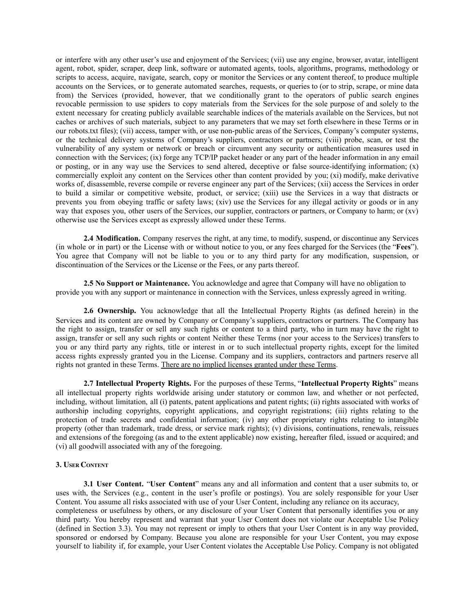or interfere with any other user's use and enjoyment of the Services; (vii) use any engine, browser, avatar, intelligent agent, robot, spider, scraper, deep link, software or automated agents, tools, algorithms, programs, methodology or scripts to access, acquire, navigate, search, copy or monitor the Services or any content thereof, to produce multiple accounts on the Services, or to generate automated searches, requests, or queries to (or to strip, scrape, or mine data from) the Services (provided, however, that we conditionally grant to the operators of public search engines revocable permission to use spiders to copy materials from the Services for the sole purpose of and solely to the extent necessary for creating publicly available searchable indices of the materials available on the Services, but not caches or archives of such materials, subject to any parameters that we may set forth elsewhere in these Terms or in our robots.txt files); (vii) access, tamper with, or use non-public areas of the Services, Company's computer systems, or the technical delivery systems of Company's suppliers, contractors or partners; (viii) probe, scan, or test the vulnerability of any system or network or breach or circumvent any security or authentication measures used in connection with the Services; (ix) forge any TCP/IP packet header or any part of the header information in any email or posting, or in any way use the Services to send altered, deceptive or false source-identifying information; (x) commercially exploit any content on the Services other than content provided by you; (xi) modify, make derivative works of, disassemble, reverse compile or reverse engineer any part of the Services; (xii) access the Services in order to build a similar or competitive website, product, or service; (xiii) use the Services in a way that distracts or prevents you from obeying traffic or safety laws; (xiv) use the Services for any illegal activity or goods or in any way that exposes you, other users of the Services, our supplier, contractors or partners, or Company to harm; or (xv) otherwise use the Services except as expressly allowed under these Terms.

**2.4 Modification.** Company reserves the right, at any time, to modify, suspend, or discontinue any Services (in whole or in part) or the License with or without notice to you, or any fees charged for the Services (the "**Fees**"). You agree that Company will not be liable to you or to any third party for any modification, suspension, or discontinuation of the Services or the License or the Fees, or any parts thereof.

**2.5 No Support or Maintenance.** You acknowledge and agree that Company will have no obligation to provide you with any support or maintenance in connection with the Services, unless expressly agreed in writing.

**2.6 Ownership.** You acknowledge that all the Intellectual Property Rights (as defined herein) in the Services and its content are owned by Company or Company's suppliers, contractors or partners. The Company has the right to assign, transfer or sell any such rights or content to a third party, who in turn may have the right to assign, transfer or sell any such rights or content Neither these Terms (nor your access to the Services) transfers to you or any third party any rights, title or interest in or to such intellectual property rights, except for the limited access rights expressly granted you in the License. Company and its suppliers, contractors and partners reserve all rights not granted in these Terms. There are no implied licenses granted under these Terms.

**2.7 Intellectual Property Rights.** For the purposes of these Terms, "**Intellectual Property Rights**" means all intellectual property rights worldwide arising under statutory or common law, and whether or not perfected, including, without limitation, all (i) patents, patent applications and patent rights; (ii) rights associated with works of authorship including copyrights, copyright applications, and copyright registrations; (iii) rights relating to the protection of trade secrets and confidential information; (iv) any other proprietary rights relating to intangible property (other than trademark, trade dress, or service mark rights); (v) divisions, continuations, renewals, reissues and extensions of the foregoing (as and to the extent applicable) now existing, hereafter filed, issued or acquired; and (vi) all goodwill associated with any of the foregoing.

## **3. USER CONTENT**

**3.1 User Content.** "**User Content**" means any and all information and content that a user submits to, or uses with, the Services (e.g., content in the user's profile or postings). You are solely responsible for your User Content. You assume all risks associated with use of your User Content, including any reliance on its accuracy, completeness or usefulness by others, or any disclosure of your User Content that personally identifies you or any third party. You hereby represent and warrant that your User Content does not violate our Acceptable Use Policy (defined in Section 3.3). You may not represent or imply to others that your User Content is in any way provided, sponsored or endorsed by Company. Because you alone are responsible for your User Content, you may expose yourself to liability if, for example, your User Content violates the Acceptable Use Policy. Company is not obligated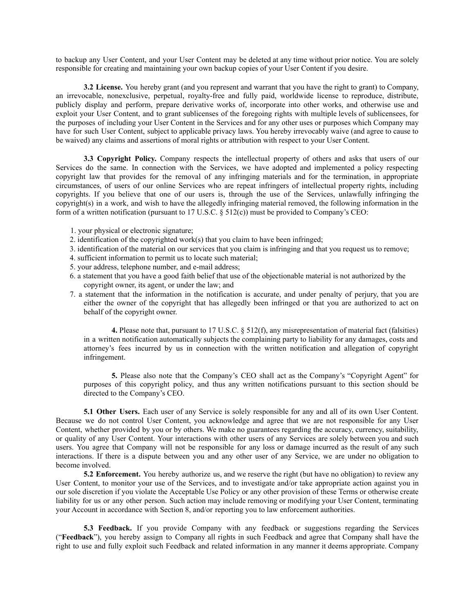to backup any User Content, and your User Content may be deleted at any time without prior notice. You are solely responsible for creating and maintaining your own backup copies of your User Content if you desire.

**3.2 License.** You hereby grant (and you represent and warrant that you have the right to grant) to Company, an irrevocable, nonexclusive, perpetual, royalty-free and fully paid, worldwide license to reproduce, distribute, publicly display and perform, prepare derivative works of, incorporate into other works, and otherwise use and exploit your User Content, and to grant sublicenses of the foregoing rights with multiple levels of sublicensees, for the purposes of including your User Content in the Services and for any other uses or purposes which Company may have for such User Content, subject to applicable privacy laws. You hereby irrevocably waive (and agree to cause to be waived) any claims and assertions of moral rights or attribution with respect to your User Content.

**3.3 Copyright Policy.** Company respects the intellectual property of others and asks that users of our Services do the same. In connection with the Services, we have adopted and implemented a policy respecting copyright law that provides for the removal of any infringing materials and for the termination, in appropriate circumstances, of users of our online Services who are repeat infringers of intellectual property rights, including copyrights. If you believe that one of our users is, through the use of the Services, unlawfully infringing the copyright(s) in a work, and wish to have the allegedly infringing material removed, the following information in the form of a written notification (pursuant to 17 U.S.C. § 512(c)) must be provided to Company's CEO:

- 1. your physical or electronic signature;
- 2. identification of the copyrighted work(s) that you claim to have been infringed;
- 3. identification of the material on our services that you claim is infringing and that you request us to remove;
- 4. sufficient information to permit us to locate such material;
- 5. your address, telephone number, and e-mail address;
- 6. a statement that you have a good faith belief that use of the objectionable material is not authorized by the copyright owner, its agent, or under the law; and
- 7. a statement that the information in the notification is accurate, and under penalty of perjury, that you are either the owner of the copyright that has allegedly been infringed or that you are authorized to act on behalf of the copyright owner.

**4.** Please note that, pursuant to 17 U.S.C. § 512(f), any misrepresentation of material fact (falsities) in a written notification automatically subjects the complaining party to liability for any damages, costs and attorney's fees incurred by us in connection with the written notification and allegation of copyright infringement.

**5.** Please also note that the Company's CEO shall act as the Company's "Copyright Agent" for purposes of this copyright policy, and thus any written notifications pursuant to this section should be directed to the Company's CEO.

**5.1 Other Users.** Each user of any Service is solely responsible for any and all of its own User Content. Because we do not control User Content, you acknowledge and agree that we are not responsible for any User Content, whether provided by you or by others. We make no guarantees regarding the accuracy, currency, suitability, or quality of any User Content. Your interactions with other users of any Services are solely between you and such users. You agree that Company will not be responsible for any loss or damage incurred as the result of any such interactions. If there is a dispute between you and any other user of any Service, we are under no obligation to become involved.

**5.2 Enforcement.** You hereby authorize us, and we reserve the right (but have no obligation) to review any User Content, to monitor your use of the Services, and to investigate and/or take appropriate action against you in our sole discretion if you violate the Acceptable Use Policy or any other provision of these Terms or otherwise create liability for us or any other person. Such action may include removing or modifying your User Content, terminating your Account in accordance with Section 8, and/or reporting you to law enforcement authorities.

**5.3 Feedback.** If you provide Company with any feedback or suggestions regarding the Services ("**Feedback**"), you hereby assign to Company all rights in such Feedback and agree that Company shall have the right to use and fully exploit such Feedback and related information in any manner it deems appropriate. Company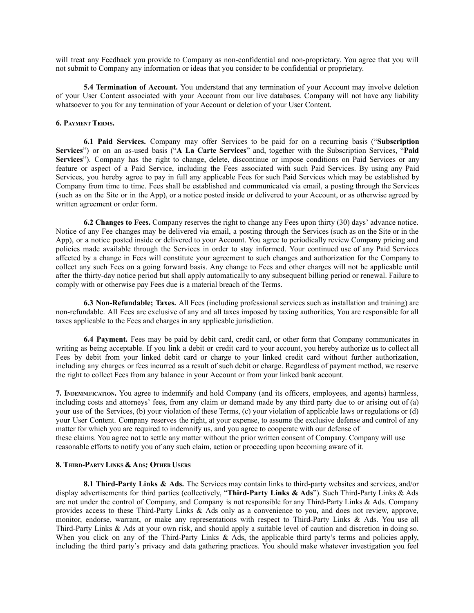will treat any Feedback you provide to Company as non-confidential and non-proprietary. You agree that you will not submit to Company any information or ideas that you consider to be confidential or proprietary.

**5.4 Termination of Account.** You understand that any termination of your Account may involve deletion of your User Content associated with your Account from our live databases. Company will not have any liability whatsoever to you for any termination of your Account or deletion of your User Content.

## **6. PAYMENT TERMS.**

**6.1 Paid Services.** Company may offer Services to be paid for on a recurring basis ("**Subscription Services**") or on an as-used basis ("**A La Carte Services**" and, together with the Subscription Services, "**Paid** Services"). Company has the right to change, delete, discontinue or impose conditions on Paid Services or any feature or aspect of a Paid Service, including the Fees associated with such Paid Services. By using any Paid Services, you hereby agree to pay in full any applicable Fees for such Paid Services which may be established by Company from time to time. Fees shall be established and communicated via email, a posting through the Services (such as on the Site or in the App), or a notice posted inside or delivered to your Account, or as otherwise agreed by written agreement or order form.

**6.2 Changes to Fees.** Company reserves the right to change any Fees upon thirty (30) days' advance notice. Notice of any Fee changes may be delivered via email, a posting through the Services (such as on the Site or in the App), or a notice posted inside or delivered to your Account. You agree to periodically review Company pricing and policies made available through the Services in order to stay informed. Your continued use of any Paid Services affected by a change in Fees will constitute your agreement to such changes and authorization for the Company to collect any such Fees on a going forward basis. Any change to Fees and other charges will not be applicable until after the thirty-day notice period but shall apply automatically to any subsequent billing period or renewal. Failure to comply with or otherwise pay Fees due is a material breach of the Terms.

**6.3 Non-Refundable; Taxes.** All Fees (including professional services such as installation and training) are non-refundable. All Fees are exclusive of any and all taxes imposed by taxing authorities, You are responsible for all taxes applicable to the Fees and charges in any applicable jurisdiction.

**6.4 Payment.** Fees may be paid by debit card, credit card, or other form that Company communicates in writing as being acceptable. If you link a debit or credit card to your account, you hereby authorize us to collect all Fees by debit from your linked debit card or charge to your linked credit card without further authorization, including any charges or fees incurred as a result of such debit or charge. Regardless of payment method, we reserve the right to collect Fees from any balance in your Account or from your linked bank account.

**7. INDEMNIFICATION.** You agree to indemnify and hold Company (and its officers, employees, and agents) harmless, including costs and attorneys' fees, from any claim or demand made by any third party due to or arising out of (a) your use of the Services, (b) your violation of these Terms, (c) your violation of applicable laws or regulations or (d) your User Content. Company reserves the right, at your expense, to assume the exclusive defense and control of any matter for which you are required to indemnify us, and you agree to cooperate with our defense of these claims. You agree not to settle any matter without the prior written consent of Company. Company will use reasonable efforts to notify you of any such claim, action or proceeding upon becoming aware of it.

## **8. THIRD-PARTY LINKS & ADS; OTHER USERS**

**8.1 Third-Party Links & Ads.** The Services may contain links to third-party websites and services, and/or display advertisements for third parties (collectively, "**Third-Party Links & Ads**"). Such Third-Party Links & Ads are not under the control of Company, and Company is not responsible for any Third-Party Links & Ads. Company provides access to these Third-Party Links & Ads only as a convenience to you, and does not review, approve, monitor, endorse, warrant, or make any representations with respect to Third-Party Links & Ads. You use all Third-Party Links & Ads at your own risk, and should apply a suitable level of caution and discretion in doing so. When you click on any of the Third-Party Links & Ads, the applicable third party's terms and policies apply, including the third party's privacy and data gathering practices. You should make whatever investigation you feel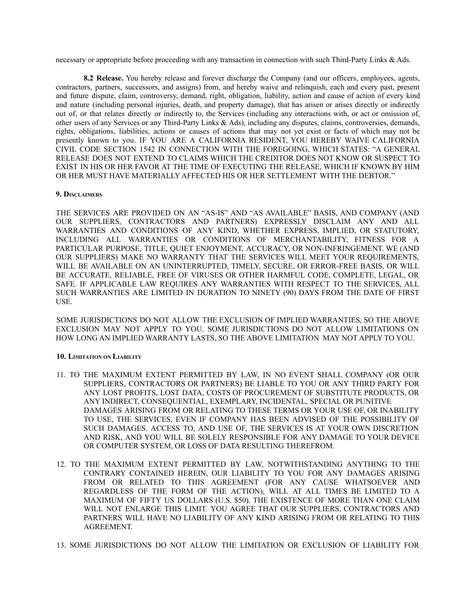necessary or appropriate before proceeding with any transaction in connection with such Third-Party Links & Ads.

**8.2 Release.** You hereby release and forever discharge the Company (and our officers, employees, agents, contractors, partners, successors, and assigns) from, and hereby waive and relinquish, each and every past, present and future dispute, claim, controversy, demand, right, obligation, liability, action and cause of action of every kind and nature (including personal injuries, death, and property damage), that has arisen or arises directly or indirectly out of, or that relates directly or indirectly to, the Services (including any interactions with, or act or omission of, other users of any Services or any Third-Party Links & Ads), including any disputes, claims, controversies, demands, rights, obligations, liabilities, actions or causes of actions that may not yet exist or facts of which may not be presently known to you. IF YOU ARE A CALIFORNIA RESIDENT, YOU HEREBY WAIVE CALIFORNIA CIVIL CODE SECTION 1542 IN CONNECTION WITH THE FOREGOING, WHICH STATES: "A GENERAL RELEASE DOES NOT EXTEND TO CLAIMS WHICH THE CREDITOR DOES NOT KNOW OR SUSPECT TO EXIST IN HIS OR HER FAVOR AT THE TIME OF EXECUTING THE RELEASE, WHICH IF KNOWN BY HIM OR HER MUST HAVE MATERIALLY AFFECTED HIS OR HER SETTLEMENT WITH THE DEBTOR."

## **9. DISCLAIMERS**

THE SERVICES ARE PROVIDED ON AN "AS-IS" AND "AS AVAILABLE" BASIS, AND COMPANY (AND OUR SUPPLIERS, CONTRACTORS AND PARTNERS) EXPRESSLY DISCLAIM ANY AND ALL WARRANTIES AND CONDITIONS OF ANY KIND, WHETHER EXPRESS, IMPLIED, OR STATUTORY, INCLUDING ALL WARRANTIES OR CONDITIONS OF MERCHANTABILITY, FITNESS FOR A PARTICULAR PURPOSE, TITLE, QUIET ENJOYMENT, ACCURACY, OR NON-INFRINGEMENT. WE (AND OUR SUPPLIERS) MAKE NO WARRANTY THAT THE SERVICES WILL MEET YOUR REQUIREMENTS, WILL BE AVAILABLE ON AN UNINTERRUPTED, TIMELY, SECURE, OR ERROR-FREE BASIS, OR WILL BE ACCURATE, RELIABLE, FREE OF VIRUSES OR OTHER HARMFUL CODE, COMPLETE, LEGAL, OR SAFE. IF APPLICABLE LAW REQUIRES ANY WARRANTIES WITH RESPECT TO THE SERVICES, ALL SUCH WARRANTIES ARE LIMITED IN DURATION TO NINETY (90) DAYS FROM THE DATE OF FIRST USE.

SOME JURISDICTIONS DO NOT ALLOW THE EXCLUSION OF IMPLIED WARRANTIES, SO THE ABOVE EXCLUSION MAY NOT APPLY TO YOU. SOME JURISDICTIONS DO NOT ALLOW LIMITATIONS ON HOW LONG AN IMPLIED WARRANTY LASTS, SO THE ABOVE LIMITATION MAY NOT APPLY TO YOU.

# **10. LIMITATION ON LIABILITY**

- 11. TO THE MAXIMUM EXTENT PERMITTED BY LAW, IN NO EVENT SHALL COMPANY (OR OUR SUPPLIERS, CONTRACTORS OR PARTNERS) BE LIABLE TO YOU OR ANY THIRD PARTY FOR ANY LOST PROFITS, LOST DATA, COSTS OF PROCUREMENT OF SUBSTITUTE PRODUCTS, OR ANY INDIRECT, CONSEQUENTIAL, EXEMPLARY, INCIDENTAL, SPECIAL OR PUNITIVE DAMAGES ARISING FROM OR RELATING TO THESE TERMS OR YOUR USE OF, OR INABILITY TO USE, THE SERVICES, EVEN IF COMPANY HAS BEEN ADVISED OF THE POSSIBILITY OF SUCH DAMAGES. ACCESS TO, AND USE OF, THE SERVICES IS AT YOUR OWN DISCRETION AND RISK, AND YOU WILL BE SOLELY RESPONSIBLE FOR ANY DAMAGE TO YOUR DEVICE OR COMPUTER SYSTEM, OR LOSS OF DATA RESULTING THEREFROM.
- 12. TO THE MAXIMUM EXTENT PERMITTED BY LAW, NOTWITHSTANDING ANYTHING TO THE CONTRARY CONTAINED HEREIN, OUR LIABILITY TO YOU FOR ANY DAMAGES ARISING FROM OR RELATED TO THIS AGREEMENT (FOR ANY CAUSE WHATSOEVER AND REGARDLESS OF THE FORM OF THE ACTION), WILL AT ALL TIMES BE LIMITED TO A MAXIMUM OF FIFTY US DOLLARS (U.S. \$50). THE EXISTENCE OF MORE THAN ONE CLAIM WILL NOT ENLARGE THIS LIMIT. YOU AGREE THAT OUR SUPPLIERS, CONTRACTORS AND PARTNERS WILL HAVE NO LIABILITY OF ANY KIND ARISING FROM OR RELATING TO THIS AGREEMENT.
- 13. SOME JURISDICTIONS DO NOT ALLOW THE LIMITATION OR EXCLUSION OF LIABILITY FOR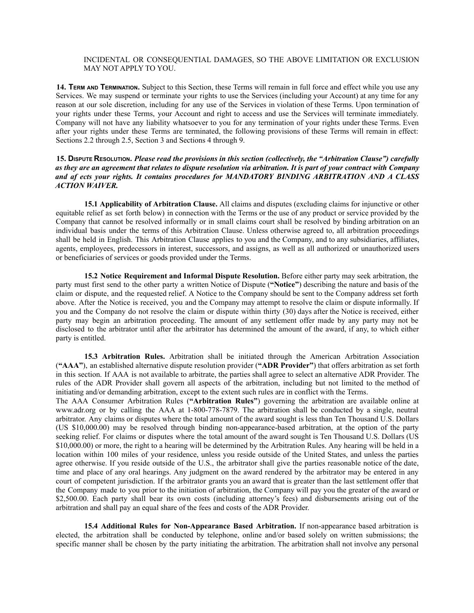## INCIDENTAL OR CONSEQUENTIAL DAMAGES, SO THE ABOVE LIMITATION OR EXCLUSION MAY NOT APPLY TO YOU.

**14. TERM AND TERMINATION.** Subject to this Section, these Terms will remain in full force and effect while you use any Services. We may suspend or terminate your rights to use the Services (including your Account) at any time for any reason at our sole discretion, including for any use of the Services in violation of these Terms. Upon termination of your rights under these Terms, your Account and right to access and use the Services will terminate immediately. Company will not have any liability whatsoever to you for any termination of your rights under these Terms. Even after your rights under these Terms are terminated, the following provisions of these Terms will remain in effect: Sections 2.2 through 2.5, Section 3 and Sections 4 through 9.

## 15. DISPUTE RESOLUTION. Please read the provisions in this section (collectively, the "Arbitration Clause") carefully as they are an agreement that relates to dispute resolution via arbitration. It is part of your contract with Company *and af ects your rights. It contains procedures for MANDATORY BINDING ARBITRATION AND A CLASS ACTION WAIVER.*

**15.1 Applicability of Arbitration Clause.** All claims and disputes (excluding claims for injunctive or other equitable relief as set forth below) in connection with the Terms or the use of any product or service provided by the Company that cannot be resolved informally or in small claims court shall be resolved by binding arbitration on an individual basis under the terms of this Arbitration Clause. Unless otherwise agreed to, all arbitration proceedings shall be held in English. This Arbitration Clause applies to you and the Company, and to any subsidiaries, affiliates, agents, employees, predecessors in interest, successors, and assigns, as well as all authorized or unauthorized users or beneficiaries of services or goods provided under the Terms.

**15.2 Notice Requirement and Informal Dispute Resolution.** Before either party may seek arbitration, the party must first send to the other party a written Notice of Dispute (**"Notice"**) describing the nature and basis of the claim or dispute, and the requested relief. A Notice to the Company should be sent to the Company address set forth above. After the Notice is received, you and the Company may attempt to resolve the claim or dispute informally. If you and the Company do not resolve the claim or dispute within thirty (30) days after the Notice is received, either party may begin an arbitration proceeding. The amount of any settlement offer made by any party may not be disclosed to the arbitrator until after the arbitrator has determined the amount of the award, if any, to which either party is entitled.

**15.3 Arbitration Rules.** Arbitration shall be initiated through the American Arbitration Association (**"AAA"**), an established alternative dispute resolution provider (**"ADR Provider"**) that offers arbitration as set forth in this section. If AAA is not available to arbitrate, the parties shall agree to select an alternative ADR Provider. The rules of the ADR Provider shall govern all aspects of the arbitration, including but not limited to the method of initiating and/or demanding arbitration, except to the extent such rules are in conflict with the Terms.

The AAA Consumer Arbitration Rules (**"Arbitration Rules"**) governing the arbitration are available online at www.adr.org or by calling the AAA at 1-800-778-7879. The arbitration shall be conducted by a single, neutral arbitrator. Any claims or disputes where the total amount of the award sought is less than Ten Thousand U.S. Dollars (US \$10,000.00) may be resolved through binding non-appearance-based arbitration, at the option of the party seeking relief. For claims or disputes where the total amount of the award sought is Ten Thousand U.S. Dollars (US \$10,000.00) or more, the right to a hearing will be determined by the Arbitration Rules. Any hearing will be held in a location within 100 miles of your residence, unless you reside outside of the United States, and unless the parties agree otherwise. If you reside outside of the U.S., the arbitrator shall give the parties reasonable notice of the date, time and place of any oral hearings. Any judgment on the award rendered by the arbitrator may be entered in any court of competent jurisdiction. If the arbitrator grants you an award that is greater than the last settlement offer that the Company made to you prior to the initiation of arbitration, the Company will pay you the greater of the award or \$2,500.00. Each party shall bear its own costs (including attorney's fees) and disbursements arising out of the arbitration and shall pay an equal share of the fees and costs of the ADR Provider.

**15.4 Additional Rules for Non-Appearance Based Arbitration.** If non-appearance based arbitration is elected, the arbitration shall be conducted by telephone, online and/or based solely on written submissions; the specific manner shall be chosen by the party initiating the arbitration. The arbitration shall not involve any personal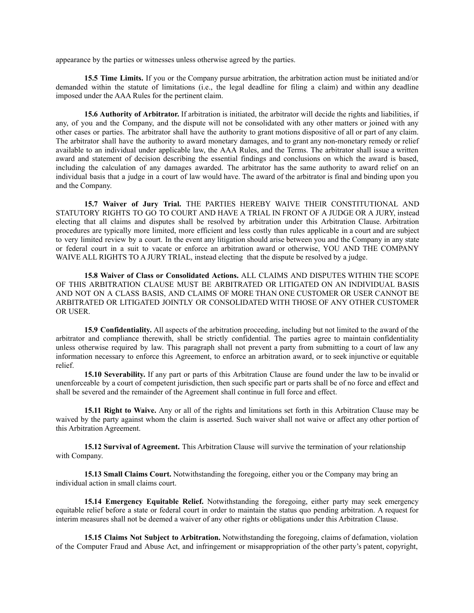appearance by the parties or witnesses unless otherwise agreed by the parties.

**15.5 Time Limits.** If you or the Company pursue arbitration, the arbitration action must be initiated and/or demanded within the statute of limitations (i.e., the legal deadline for filing a claim) and within any deadline imposed under the AAA Rules for the pertinent claim.

**15.6 Authority of Arbitrator.** If arbitration is initiated, the arbitrator will decide the rights and liabilities, if any, of you and the Company, and the dispute will not be consolidated with any other matters or joined with any other cases or parties. The arbitrator shall have the authority to grant motions dispositive of all or part of any claim. The arbitrator shall have the authority to award monetary damages, and to grant any non-monetary remedy or relief available to an individual under applicable law, the AAA Rules, and the Terms. The arbitrator shall issue a written award and statement of decision describing the essential findings and conclusions on which the award is based, including the calculation of any damages awarded. The arbitrator has the same authority to award relief on an individual basis that a judge in a court of law would have. The award of the arbitrator is final and binding upon you and the Company.

**15.7 Waiver of Jury Trial.** THE PARTIES HEREBY WAIVE THEIR CONSTITUTIONAL AND STATUTORY RIGHTS TO GO TO COURT AND HAVE A TRIAL IN FRONT OF A JUDGE OR A JURY, instead electing that all claims and disputes shall be resolved by arbitration under this Arbitration Clause. Arbitration procedures are typically more limited, more efficient and less costly than rules applicable in a court and are subject to very limited review by a court. In the event any litigation should arise between you and the Company in any state or federal court in a suit to vacate or enforce an arbitration award or otherwise, YOU AND THE COMPANY WAIVE ALL RIGHTS TO A JURY TRIAL, instead electing that the dispute be resolved by a judge.

**15.8 Waiver of Class or Consolidated Actions.** ALL CLAIMS AND DISPUTES WITHIN THE SCOPE OF THIS ARBITRATION CLAUSE MUST BE ARBITRATED OR LITIGATED ON AN INDIVIDUAL BASIS AND NOT ON A CLASS BASIS, AND CLAIMS OF MORE THAN ONE CUSTOMER OR USER CANNOT BE ARBITRATED OR LITIGATED JOINTLY OR CONSOLIDATED WITH THOSE OF ANY OTHER CUSTOMER OR USER.

**15.9 Confidentiality.** All aspects of the arbitration proceeding, including but not limited to the award of the arbitrator and compliance therewith, shall be strictly confidential. The parties agree to maintain confidentiality unless otherwise required by law. This paragraph shall not prevent a party from submitting to a court of law any information necessary to enforce this Agreement, to enforce an arbitration award, or to seek injunctive or equitable relief.

**15.10 Severability.** If any part or parts of this Arbitration Clause are found under the law to be invalid or unenforceable by a court of competent jurisdiction, then such specific part or parts shall be of no force and effect and shall be severed and the remainder of the Agreement shall continue in full force and effect.

**15.11 Right to Waive.** Any or all of the rights and limitations set forth in this Arbitration Clause may be waived by the party against whom the claim is asserted. Such waiver shall not waive or affect any other portion of this Arbitration Agreement.

**15.12 Survival of Agreement.** This Arbitration Clause will survive the termination of your relationship with Company.

**15.13 Small Claims Court.** Notwithstanding the foregoing, either you or the Company may bring an individual action in small claims court.

**15.14 Emergency Equitable Relief.** Notwithstanding the foregoing, either party may seek emergency equitable relief before a state or federal court in order to maintain the status quo pending arbitration. A request for interim measures shall not be deemed a waiver of any other rights or obligations under this Arbitration Clause.

**15.15 Claims Not Subject to Arbitration.** Notwithstanding the foregoing, claims of defamation, violation of the Computer Fraud and Abuse Act, and infringement or misappropriation of the other party's patent, copyright,